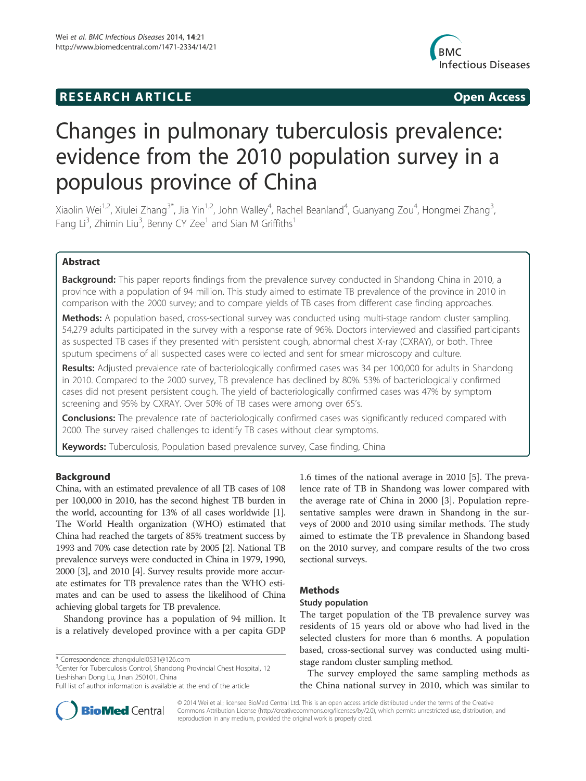# **RESEARCH ARTICLE Example 2014 CONSIDERING CONSIDERING CONSIDERING CONSIDERING CONSIDERING CONSIDERING CONSIDERING CONSIDERING CONSIDERING CONSIDERING CONSIDERING CONSIDERING CONSIDERING CONSIDERING CONSIDERING CONSIDE**



# Changes in pulmonary tuberculosis prevalence: evidence from the 2010 population survey in a populous province of China

Xiaolin Wei<sup>1,2</sup>, Xiulei Zhang<sup>3\*</sup>, Jia Yin<sup>1,2</sup>, John Walley<sup>4</sup>, Rachel Beanland<sup>4</sup>, Guanyang Zou<sup>4</sup>, Hongmei Zhang<sup>3</sup> , Fang Li<sup>3</sup>, Zhimin Liu<sup>3</sup>, Benny CY Zee<sup>1</sup> and Sian M Griffiths<sup>1</sup>

# Abstract

Background: This paper reports findings from the prevalence survey conducted in Shandong China in 2010, a province with a population of 94 million. This study aimed to estimate TB prevalence of the province in 2010 in comparison with the 2000 survey; and to compare yields of TB cases from different case finding approaches.

Methods: A population based, cross-sectional survey was conducted using multi-stage random cluster sampling. 54,279 adults participated in the survey with a response rate of 96%. Doctors interviewed and classified participants as suspected TB cases if they presented with persistent cough, abnormal chest X-ray (CXRAY), or both. Three sputum specimens of all suspected cases were collected and sent for smear microscopy and culture.

Results: Adjusted prevalence rate of bacteriologically confirmed cases was 34 per 100,000 for adults in Shandong in 2010. Compared to the 2000 survey, TB prevalence has declined by 80%. 53% of bacteriologically confirmed cases did not present persistent cough. The yield of bacteriologically confirmed cases was 47% by symptom screening and 95% by CXRAY. Over 50% of TB cases were among over 65's.

**Conclusions:** The prevalence rate of bacteriologically confirmed cases was significantly reduced compared with 2000. The survey raised challenges to identify TB cases without clear symptoms.

Keywords: Tuberculosis, Population based prevalence survey, Case finding, China

# Background

China, with an estimated prevalence of all TB cases of 108 per 100,000 in 2010, has the second highest TB burden in the world, accounting for 13% of all cases worldwide [1]. The World Health organization (WHO) estimated that China had reached the targets of 85% treatment success by 1993 and 70% case detection rate by 2005 [2]. National TB prevalence surveys were conducted in China in 1979, 1990, 2000 [3], and 2010 [4]. Survey results provide more accurate estimates for TB prevalence rates than the WHO estimates and can be used to assess the likelihood of China achieving global targets for TB prevalence.

Shandong province has a population of 94 million. It is a relatively developed province with a per capita GDP

<sup>3</sup>Center for Tuberculosis Control, Shandong Provincial Chest Hospital, 12 Lieshishan Dong Lu, Jinan 250101, China

1.6 times of the national average in 2010 [5]. The prevalence rate of TB in Shandong was lower compared with the average rate of China in 2000 [3]. Population representative samples were drawn in Shandong in the surveys of 2000 and 2010 using similar methods. The study aimed to estimate the TB prevalence in Shandong based on the 2010 survey, and compare results of the two cross sectional surveys.

# Methods

# Study population

The target population of the TB prevalence survey was residents of 15 years old or above who had lived in the selected clusters for more than 6 months. A population based, cross-sectional survey was conducted using multistage random cluster sampling method.

The survey employed the same sampling methods as the China national survey in 2010, which was similar to



© 2014 Wei et al.; licensee BioMed Central Ltd. This is an open access article distributed under the terms of the Creative Commons Attribution License (http://creativecommons.org/licenses/by/2.0), which permits unrestricted use, distribution, and reproduction in any medium, provided the original work is properly cited.

<sup>\*</sup> Correspondence: zhangxiulei0531@126.com <sup>3</sup>

Full list of author information is available at the end of the article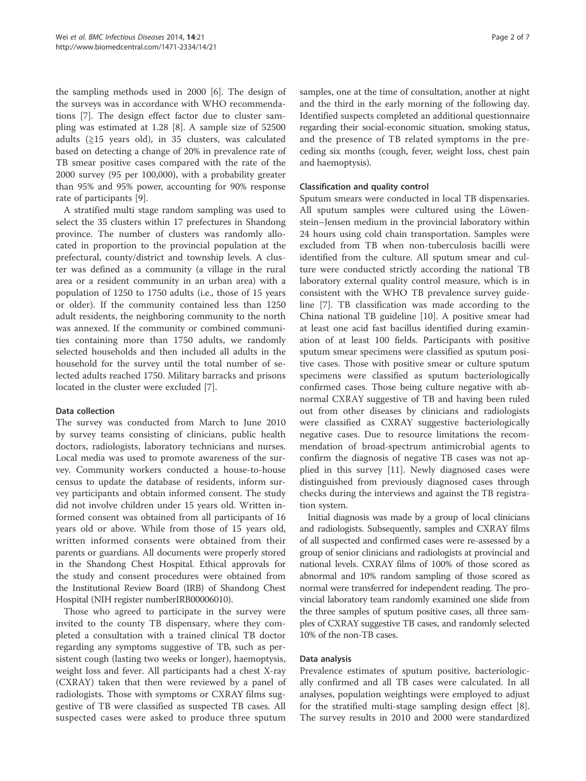the sampling methods used in 2000 [6]. The design of the surveys was in accordance with WHO recommendations [7]. The design effect factor due to cluster sampling was estimated at 1.28 [8]. A sample size of 52500 adults (≧15 years old), in 35 clusters, was calculated based on detecting a change of 20% in prevalence rate of TB smear positive cases compared with the rate of the 2000 survey (95 per 100,000), with a probability greater than 95% and 95% power, accounting for 90% response rate of participants [9].

A stratified multi stage random sampling was used to select the 35 clusters within 17 prefectures in Shandong province. The number of clusters was randomly allocated in proportion to the provincial population at the prefectural, county/district and township levels. A cluster was defined as a community (a village in the rural area or a resident community in an urban area) with a population of 1250 to 1750 adults (i.e., those of 15 years or older). If the community contained less than 1250 adult residents, the neighboring community to the north was annexed. If the community or combined communities containing more than 1750 adults, we randomly selected households and then included all adults in the household for the survey until the total number of selected adults reached 1750. Military barracks and prisons located in the cluster were excluded [7].

## Data collection

The survey was conducted from March to June 2010 by survey teams consisting of clinicians, public health doctors, radiologists, laboratory technicians and nurses. Local media was used to promote awareness of the survey. Community workers conducted a house-to-house census to update the database of residents, inform survey participants and obtain informed consent. The study did not involve children under 15 years old. Written informed consent was obtained from all participants of 16 years old or above. While from those of 15 years old, written informed consents were obtained from their parents or guardians. All documents were properly stored in the Shandong Chest Hospital. Ethical approvals for the study and consent procedures were obtained from the Institutional Review Board (IRB) of Shandong Chest Hospital (NIH register numberIRB00006010).

Those who agreed to participate in the survey were invited to the county TB dispensary, where they completed a consultation with a trained clinical TB doctor regarding any symptoms suggestive of TB, such as persistent cough (lasting two weeks or longer), haemoptysis, weight loss and fever. All participants had a chest X-ray (CXRAY) taken that then were reviewed by a panel of radiologists. Those with symptoms or CXRAY films suggestive of TB were classified as suspected TB cases. All suspected cases were asked to produce three sputum

samples, one at the time of consultation, another at night and the third in the early morning of the following day. Identified suspects completed an additional questionnaire regarding their social-economic situation, smoking status, and the presence of TB related symptoms in the preceding six months (cough, fever, weight loss, chest pain and haemoptysis).

## Classification and quality control

Sputum smears were conducted in local TB dispensaries. All sputum samples were cultured using the Löwenstein–Jensen medium in the provincial laboratory within 24 hours using cold chain transportation. Samples were excluded from TB when non-tuberculosis bacilli were identified from the culture. All sputum smear and culture were conducted strictly according the national TB laboratory external quality control measure, which is in consistent with the WHO TB prevalence survey guideline [7]. TB classification was made according to the China national TB guideline [10]. A positive smear had at least one acid fast bacillus identified during examination of at least 100 fields. Participants with positive sputum smear specimens were classified as sputum positive cases. Those with positive smear or culture sputum specimens were classified as sputum bacteriologically confirmed cases. Those being culture negative with abnormal CXRAY suggestive of TB and having been ruled out from other diseases by clinicians and radiologists were classified as CXRAY suggestive bacteriologically negative cases. Due to resource limitations the recommendation of broad-spectrum antimicrobial agents to confirm the diagnosis of negative TB cases was not applied in this survey [11]. Newly diagnosed cases were distinguished from previously diagnosed cases through checks during the interviews and against the TB registration system.

Initial diagnosis was made by a group of local clinicians and radiologists. Subsequently, samples and CXRAY films of all suspected and confirmed cases were re-assessed by a group of senior clinicians and radiologists at provincial and national levels. CXRAY films of 100% of those scored as abnormal and 10% random sampling of those scored as normal were transferred for independent reading. The provincial laboratory team randomly examined one slide from the three samples of sputum positive cases, all three samples of CXRAY suggestive TB cases, and randomly selected 10% of the non-TB cases.

# Data analysis

Prevalence estimates of sputum positive, bacteriologically confirmed and all TB cases were calculated. In all analyses, population weightings were employed to adjust for the stratified multi-stage sampling design effect [8]. The survey results in 2010 and 2000 were standardized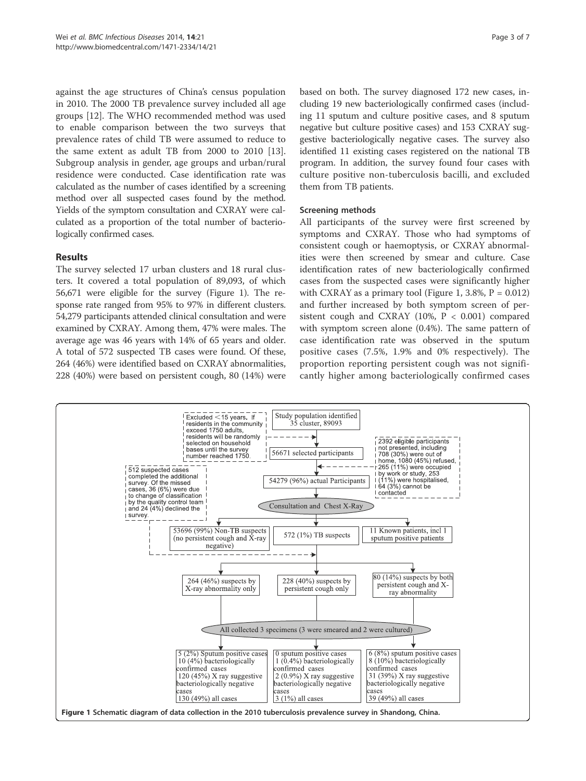against the age structures of China's census population in 2010. The 2000 TB prevalence survey included all age groups [12]. The WHO recommended method was used to enable comparison between the two surveys that prevalence rates of child TB were assumed to reduce to the same extent as adult TB from 2000 to 2010 [13]. Subgroup analysis in gender, age groups and urban/rural residence were conducted. Case identification rate was calculated as the number of cases identified by a screening method over all suspected cases found by the method. Yields of the symptom consultation and CXRAY were calculated as a proportion of the total number of bacteriologically confirmed cases.

# Results

The survey selected 17 urban clusters and 18 rural clusters. It covered a total population of 89,093, of which 56,671 were eligible for the survey (Figure 1). The response rate ranged from 95% to 97% in different clusters. 54,279 participants attended clinical consultation and were examined by CXRAY. Among them, 47% were males. The average age was 46 years with 14% of 65 years and older. A total of 572 suspected TB cases were found. Of these, 264 (46%) were identified based on CXRAY abnormalities, 228 (40%) were based on persistent cough, 80 (14%) were based on both. The survey diagnosed 172 new cases, including 19 new bacteriologically confirmed cases (including 11 sputum and culture positive cases, and 8 sputum negative but culture positive cases) and 153 CXRAY suggestive bacteriologically negative cases. The survey also identified 11 existing cases registered on the national TB program. In addition, the survey found four cases with culture positive non-tuberculosis bacilli, and excluded them from TB patients.

## Screening methods

All participants of the survey were first screened by symptoms and CXRAY. Those who had symptoms of consistent cough or haemoptysis, or CXRAY abnormalities were then screened by smear and culture. Case identification rates of new bacteriologically confirmed cases from the suspected cases were significantly higher with CXRAY as a primary tool (Figure 1, 3.8%,  $P = 0.012$ ) and further increased by both symptom screen of persistent cough and CXRAY (10%,  $P < 0.001$ ) compared with symptom screen alone (0.4%). The same pattern of case identification rate was observed in the sputum positive cases (7.5%, 1.9% and 0% respectively). The proportion reporting persistent cough was not significantly higher among bacteriologically confirmed cases

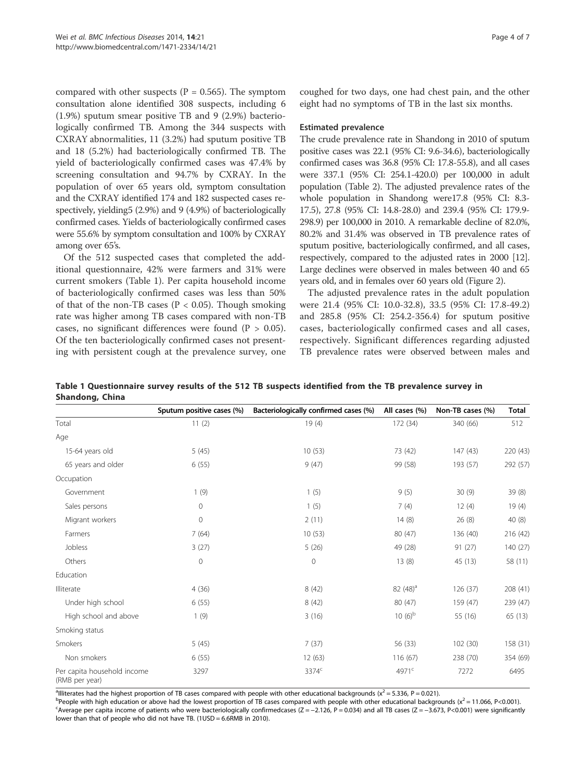compared with other suspects ( $P = 0.565$ ). The symptom consultation alone identified 308 suspects, including 6 (1.9%) sputum smear positive TB and 9 (2.9%) bacteriologically confirmed TB. Among the 344 suspects with CXRAY abnormalities, 11 (3.2%) had sputum positive TB and 18 (5.2%) had bacteriologically confirmed TB. The yield of bacteriologically confirmed cases was 47.4% by screening consultation and 94.7% by CXRAY. In the population of over 65 years old, symptom consultation and the CXRAY identified 174 and 182 suspected cases respectively, yielding5 (2.9%) and 9 (4.9%) of bacteriologically confirmed cases. Yields of bacteriologically confirmed cases were 55.6% by symptom consultation and 100% by CXRAY among over 65's.

Of the 512 suspected cases that completed the additional questionnaire, 42% were farmers and 31% were current smokers (Table 1). Per capita household income of bacteriologically confirmed cases was less than 50% of that of the non-TB cases ( $P < 0.05$ ). Though smoking rate was higher among TB cases compared with non-TB cases, no significant differences were found  $(P > 0.05)$ . Of the ten bacteriologically confirmed cases not presenting with persistent cough at the prevalence survey, one coughed for two days, one had chest pain, and the other eight had no symptoms of TB in the last six months.

#### Estimated prevalence

The crude prevalence rate in Shandong in 2010 of sputum positive cases was 22.1 (95% CI: 9.6-34.6), bacteriologically confirmed cases was 36.8 (95% CI: 17.8-55.8), and all cases were 337.1 (95% CI: 254.1-420.0) per 100,000 in adult population (Table 2). The adjusted prevalence rates of the whole population in Shandong were17.8 (95% CI: 8.3- 17.5), 27.8 (95% CI: 14.8-28.0) and 239.4 (95% CI: 179.9- 298.9) per 100,000 in 2010. A remarkable decline of 82.0%, 80.2% and 31.4% was observed in TB prevalence rates of sputum positive, bacteriologically confirmed, and all cases, respectively, compared to the adjusted rates in 2000 [12]. Large declines were observed in males between 40 and 65 years old, and in females over 60 years old (Figure 2).

The adjusted prevalence rates in the adult population were 21.4 (95% CI: 10.0-32.8), 33.5 (95% CI: 17.8-49.2) and 285.8 (95% CI: 254.2-356.4) for sputum positive cases, bacteriologically confirmed cases and all cases, respectively. Significant differences regarding adjusted TB prevalence rates were observed between males and

Table 1 Questionnaire survey results of the 512 TB suspects identified from the TB prevalence survey in Shandong, China

|                                               | Sputum positive cases (%) | Bacteriologically confirmed cases (%) | All cases (%)     | Non-TB cases (%) | <b>Total</b> |
|-----------------------------------------------|---------------------------|---------------------------------------|-------------------|------------------|--------------|
| Total                                         | 11(2)                     | 19(4)                                 | 172 (34)          | 340 (66)         | 512          |
| Age                                           |                           |                                       |                   |                  |              |
| 15-64 years old                               | 5(45)                     | 10(53)                                | 73 (42)           | 147(43)          | 220 (43)     |
| 65 years and older                            | 6(55)                     | 9(47)                                 | 99 (58)           | 193 (57)         | 292 (57)     |
| Occupation                                    |                           |                                       |                   |                  |              |
| Government                                    | 1(9)                      | 1(5)                                  | 9(5)              | 30(9)            | 39 (8)       |
| Sales persons                                 | $\mathbf 0$               | 1(5)                                  | 7(4)              | 12(4)            | 19(4)        |
| Migrant workers                               | $\mathbf 0$               | 2(11)                                 | 14(8)             | 26(8)            | 40(8)        |
| Farmers                                       | 7(64)                     | 10(53)                                | 80 (47)           | 136 (40)         | 216 (42)     |
| Jobless                                       | 3(27)                     | 5(26)                                 | 49 (28)           | 91(27)           | 140 (27)     |
| Others                                        | $\mathbf 0$               | $\mathbf{0}$                          | 13(8)             | 45 (13)          | 58 (11)      |
| Education                                     |                           |                                       |                   |                  |              |
| Illiterate                                    | 4(36)                     | 8(42)                                 | $82(48)^a$        | 126 (37)         | 208 (41)     |
| Under high school                             | 6(55)                     | 8(42)                                 | 80 (47)           | 159 (47)         | 239 (47)     |
| High school and above                         | 1(9)                      | 3(16)                                 | $10(6)^{b}$       | 55 (16)          | 65 (13)      |
| Smoking status                                |                           |                                       |                   |                  |              |
| Smokers                                       | 5(45)                     | 7(37)                                 | 56 (33)           | 102(30)          | 158 (31)     |
| Non smokers                                   | 6(55)                     | 12(63)                                | 116 (67)          | 238 (70)         | 354 (69)     |
| Per capita household income<br>(RMB per year) | 3297                      | 3374 <sup>c</sup>                     | 4971 <sup>c</sup> | 7272             | 6495         |

<sup>a</sup>llliterates had the highest proportion of TB cases compared with people with other educational backgrounds (x<sup>2</sup> = 5.336, P = 0.021).<br><sup>b</sup>People with bigh education or above had the lowest proportion of TB cases compare

<sup>b</sup>People with high education or above had the lowest proportion of TB cases compared with people with other educational backgrounds (x<sup>2</sup> = 11.066, P<0.001). <sup>C</sup>Average per capita income of patients who were bacteriologically confirmedcases (Z = -2.126, P = 0.034) and all TB cases (Z = -3.673, P<0.001) were significantly lower than that of people who did not have TB. (1USD = 6.6RMB in 2010).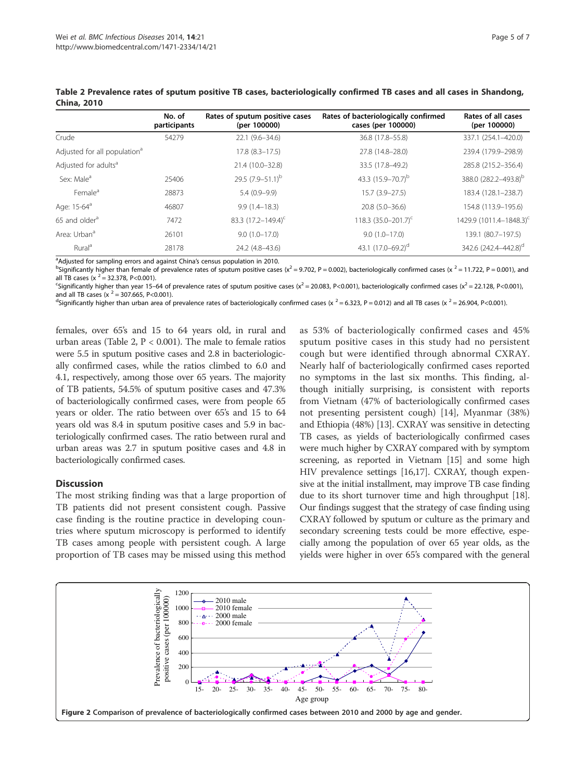|                                          | No. of<br>participants | Rates of sputum positive cases<br>(per 100000) | Rates of bacteriologically confirmed<br>cases (per 100000) | Rates of all cases<br>(per 100000)  |
|------------------------------------------|------------------------|------------------------------------------------|------------------------------------------------------------|-------------------------------------|
| Crude                                    | 54279                  | 22.1 (9.6-34.6)                                | 36.8 (17.8-55.8)                                           | 337.1 (254.1-420.0)                 |
| Adjusted for all population <sup>a</sup> |                        | $17.8$ $(8.3 - 17.5)$                          | 27.8 (14.8-28.0)                                           | 239.4 (179.9-298.9)                 |
| Adjusted for adults <sup>a</sup>         |                        | 21.4 (10.0-32.8)                               | 33.5 (17.8-49.2)                                           | 285.8 (215.2-356.4)                 |
| Sex: Male <sup>a</sup>                   | 25406                  | 29.5 $(7.9 - 51.1)^b$                          | 43.3 (15.9–70.7) <sup>b</sup>                              | 388.0 (282.2-493.8) <sup>b</sup>    |
| Female <sup>a</sup>                      | 28873                  | $5.4(0.9-9.9)$                                 | $15.7(3.9 - 27.5)$                                         | 183.4 (128.1-238.7)                 |
| Age: 15-64 <sup>a</sup>                  | 46807                  | $9.9(1.4 - 18.3)$                              | $20.8(5.0-36.6)$                                           | 154.8 (113.9-195.6)                 |
| 65 and older <sup>a</sup>                | 7472                   | 83.3 (17.2-149.4) <sup>c</sup>                 | 118.3 $(35.0 - 201.7)^{c}$                                 | 1429.9 (1011.4-1848.3) <sup>c</sup> |
| Area: Urban <sup>a</sup>                 | 26101                  | $9.0(1.0-17.0)$                                | $9.0(1.0-17.0)$                                            | 139.1 (80.7-197.5)                  |
| Rural <sup>a</sup>                       | 28178                  | 24.2 (4.8-43.6)                                | 43.1 $(17.0 - 69.2)^d$                                     | 342.6 (242.4-442.8) <sup>d</sup>    |

Table 2 Prevalence rates of sputum positive TB cases, bacteriologically confirmed TB cases and all cases in Shandong, China, 2010

<sup>a</sup> Adjusted for sampling errors and against China's census population in 2010.<br><sup>b</sup>Significantly bigher than female of prevalence rates of sputum positive case

<sup>b</sup>Significantly higher than female of prevalence rates of sputum positive cases ( $x^2 = 9.702$ , P = 0.002), bacteriologically confirmed cases ( $x^2 = 11.722$ , P = 0.001), and all TB cases (x  $^2$  = 32.378, P<0.001).

<sup>c</sup>Significantly higher than year 15–64 of prevalence rates of sputum positive cases (x<sup>2</sup> = 20.083, P<0.001), bacteriologically confirmed cases (x<sup>2</sup> = 22.128, P<0.001), and all TB cases (x  $^2$  = 307.665, P<0.001).

<sup>d</sup>Significantly higher than urban area of prevalence rates of bacteriologically confirmed cases (x  $^2$  = 6.323, P = 0.012) and all TB cases (x  $^2$  = 26.904, P<0.001).

females, over 65's and 15 to 64 years old, in rural and urban areas (Table 2, P < 0.001). The male to female ratios were 5.5 in sputum positive cases and 2.8 in bacteriologically confirmed cases, while the ratios climbed to 6.0 and 4.1, respectively, among those over 65 years. The majority of TB patients, 54.5% of sputum positive cases and 47.3% of bacteriologically confirmed cases, were from people 65 years or older. The ratio between over 65's and 15 to 64 years old was 8.4 in sputum positive cases and 5.9 in bacteriologically confirmed cases. The ratio between rural and urban areas was 2.7 in sputum positive cases and 4.8 in bacteriologically confirmed cases.

## **Discussion**

The most striking finding was that a large proportion of TB patients did not present consistent cough. Passive case finding is the routine practice in developing countries where sputum microscopy is performed to identify TB cases among people with persistent cough. A large proportion of TB cases may be missed using this method

as 53% of bacteriologically confirmed cases and 45% sputum positive cases in this study had no persistent cough but were identified through abnormal CXRAY. Nearly half of bacteriologically confirmed cases reported no symptoms in the last six months. This finding, although initially surprising, is consistent with reports from Vietnam (47% of bacteriologically confirmed cases not presenting persistent cough) [14], Myanmar (38%) and Ethiopia (48%) [13]. CXRAY was sensitive in detecting TB cases, as yields of bacteriologically confirmed cases were much higher by CXRAY compared with by symptom screening, as reported in Vietnam [15] and some high HIV prevalence settings [16,17]. CXRAY, though expensive at the initial installment, may improve TB case finding due to its short turnover time and high throughput [18]. Our findings suggest that the strategy of case finding using CXRAY followed by sputum or culture as the primary and secondary screening tests could be more effective, especially among the population of over 65 year olds, as the yields were higher in over 65's compared with the general

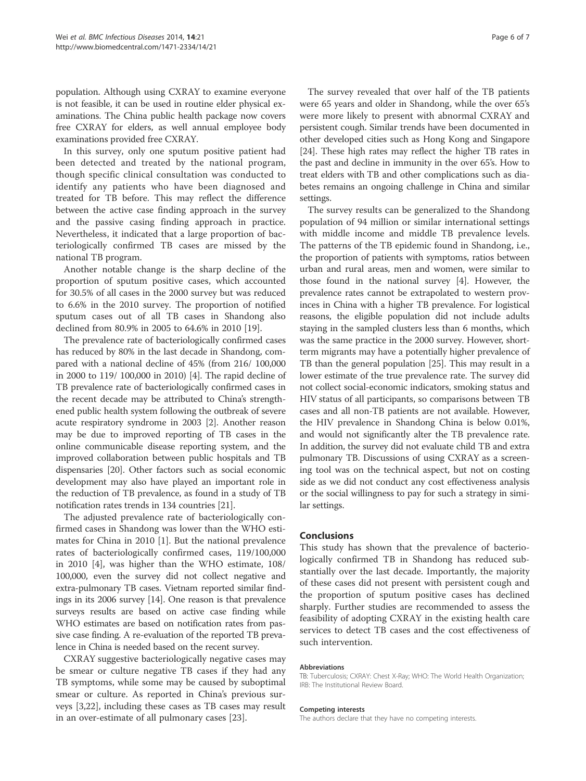population. Although using CXRAY to examine everyone is not feasible, it can be used in routine elder physical examinations. The China public health package now covers free CXRAY for elders, as well annual employee body examinations provided free CXRAY.

In this survey, only one sputum positive patient had been detected and treated by the national program, though specific clinical consultation was conducted to identify any patients who have been diagnosed and treated for TB before. This may reflect the difference between the active case finding approach in the survey and the passive casing finding approach in practice. Nevertheless, it indicated that a large proportion of bacteriologically confirmed TB cases are missed by the national TB program.

Another notable change is the sharp decline of the proportion of sputum positive cases, which accounted for 30.5% of all cases in the 2000 survey but was reduced to 6.6% in the 2010 survey. The proportion of notified sputum cases out of all TB cases in Shandong also declined from 80.9% in 2005 to 64.6% in 2010 [19].

The prevalence rate of bacteriologically confirmed cases has reduced by 80% in the last decade in Shandong, compared with a national decline of 45% (from 216/ 100,000 in 2000 to 119/ 100,000 in 2010) [4]. The rapid decline of TB prevalence rate of bacteriologically confirmed cases in the recent decade may be attributed to China's strengthened public health system following the outbreak of severe acute respiratory syndrome in 2003 [2]. Another reason may be due to improved reporting of TB cases in the online communicable disease reporting system, and the improved collaboration between public hospitals and TB dispensaries [20]. Other factors such as social economic development may also have played an important role in the reduction of TB prevalence, as found in a study of TB notification rates trends in 134 countries [21].

The adjusted prevalence rate of bacteriologically confirmed cases in Shandong was lower than the WHO estimates for China in 2010 [1]. But the national prevalence rates of bacteriologically confirmed cases, 119/100,000 in 2010 [4], was higher than the WHO estimate, 108/ 100,000, even the survey did not collect negative and extra-pulmonary TB cases. Vietnam reported similar findings in its 2006 survey [14]. One reason is that prevalence surveys results are based on active case finding while WHO estimates are based on notification rates from passive case finding. A re-evaluation of the reported TB prevalence in China is needed based on the recent survey.

CXRAY suggestive bacteriologically negative cases may be smear or culture negative TB cases if they had any TB symptoms, while some may be caused by suboptimal smear or culture. As reported in China's previous surveys [3,22], including these cases as TB cases may result in an over-estimate of all pulmonary cases [23].

The survey revealed that over half of the TB patients were 65 years and older in Shandong, while the over 65's were more likely to present with abnormal CXRAY and persistent cough. Similar trends have been documented in other developed cities such as Hong Kong and Singapore [24]. These high rates may reflect the higher TB rates in the past and decline in immunity in the over 65's. How to treat elders with TB and other complications such as diabetes remains an ongoing challenge in China and similar settings.

The survey results can be generalized to the Shandong population of 94 million or similar international settings with middle income and middle TB prevalence levels. The patterns of the TB epidemic found in Shandong, i.e., the proportion of patients with symptoms, ratios between urban and rural areas, men and women, were similar to those found in the national survey [4]. However, the prevalence rates cannot be extrapolated to western provinces in China with a higher TB prevalence. For logistical reasons, the eligible population did not include adults staying in the sampled clusters less than 6 months, which was the same practice in the 2000 survey. However, shortterm migrants may have a potentially higher prevalence of TB than the general population [25]. This may result in a lower estimate of the true prevalence rate. The survey did not collect social-economic indicators, smoking status and HIV status of all participants, so comparisons between TB cases and all non-TB patients are not available. However, the HIV prevalence in Shandong China is below 0.01%, and would not significantly alter the TB prevalence rate. In addition, the survey did not evaluate child TB and extra pulmonary TB. Discussions of using CXRAY as a screening tool was on the technical aspect, but not on costing side as we did not conduct any cost effectiveness analysis or the social willingness to pay for such a strategy in similar settings.

## Conclusions

This study has shown that the prevalence of bacteriologically confirmed TB in Shandong has reduced substantially over the last decade. Importantly, the majority of these cases did not present with persistent cough and the proportion of sputum positive cases has declined sharply. Further studies are recommended to assess the feasibility of adopting CXRAY in the existing health care services to detect TB cases and the cost effectiveness of such intervention.

#### Abbreviations

TB: Tuberculosis; CXRAY: Chest X-Ray; WHO: The World Health Organization; IRB: The Institutional Review Board.

#### Competing interests

The authors declare that they have no competing interests.